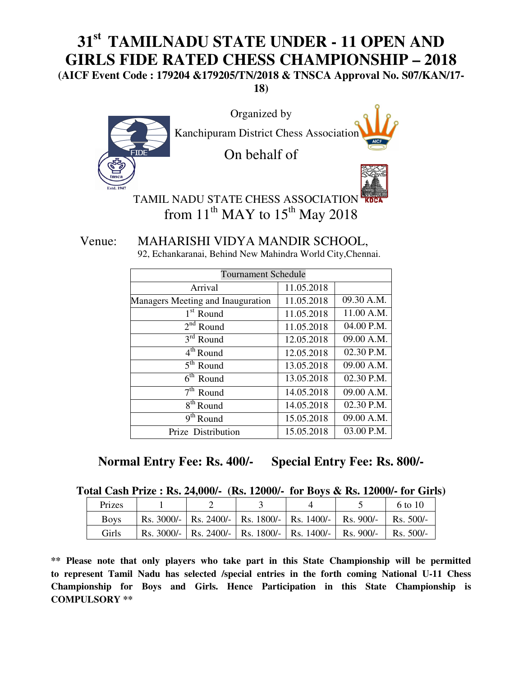# **31st TAMILNADU STATE UNDER - 11 OPEN AND GIRLS FIDE RATED CHESS CHAMPIONSHIP – 2018**

**(AICF Event Code : 179204 &179205/TN/2018 & TNSCA Approval No. S07/KAN/17- 18)** 



TAMIL NADU STATE CHESS ASSOCIATION from  $11<sup>th</sup>$  MAY to  $15<sup>th</sup>$  May 2018

 Venue: MAHARISHI VIDYA MANDIR SCHOOL, 92, Echankaranai, Behind New Mahindra World City,Chennai.

| <b>Tournament Schedule</b>        |            |            |  |  |
|-----------------------------------|------------|------------|--|--|
| Arrival                           | 11.05.2018 |            |  |  |
| Managers Meeting and Inauguration | 11.05.2018 | 09.30 A.M. |  |  |
| $1st$ Round                       | 11.05.2018 | 11.00 A.M. |  |  |
| $2nd$ Round                       | 11.05.2018 | 04.00 P.M. |  |  |
| $3rd$ Round                       | 12.05.2018 | 09.00 A.M. |  |  |
| 4 <sup>th</sup> Round             | 12.05.2018 | 02.30 P.M. |  |  |
| $5th$ Round                       | 13.05.2018 | 09.00 A.M. |  |  |
| $\overline{6}^{\text{th}}$ Round  | 13.05.2018 | 02.30 P.M. |  |  |
| $7th$ Round                       | 14.05.2018 | 09.00 A.M. |  |  |
| 8 <sup>th</sup> Round             | 14.05.2018 | 02.30 P.M. |  |  |
| $9th$ Round                       | 15.05.2018 | 09.00 A.M. |  |  |
| Prize Distribution                | 15.05.2018 | 03.00 P.M. |  |  |

**Normal Entry Fee: Rs. 400/- Special Entry Fee: Rs. 800/-** 

|  |  |  |  | Total Cash Prize : Rs. 24,000/- (Rs. 12000/- for Boys & Rs. 12000/- for Girls) |
|--|--|--|--|--------------------------------------------------------------------------------|
|--|--|--|--|--------------------------------------------------------------------------------|

| Prizes      |  |                                                               | 6 to 10           |
|-------------|--|---------------------------------------------------------------|-------------------|
| <b>Boys</b> |  | Rs. 3000/-   Rs. 2400/-   Rs. 1800/-   Rs. 1400/-   Rs. 900/- | $\vert$ Rs. 500/- |
| Girls       |  | Rs. 3000/-   Rs. 2400/-   Rs. 1800/-   Rs. 1400/-   Rs. 900/- | $\vert$ Rs. 500/- |

**\*\* Please note that only players who take part in this State Championship will be permitted to represent Tamil Nadu has selected /special entries in the forth coming National U-11 Chess Championship for Boys and Girls. Hence Participation in this State Championship is COMPULSORY \*\***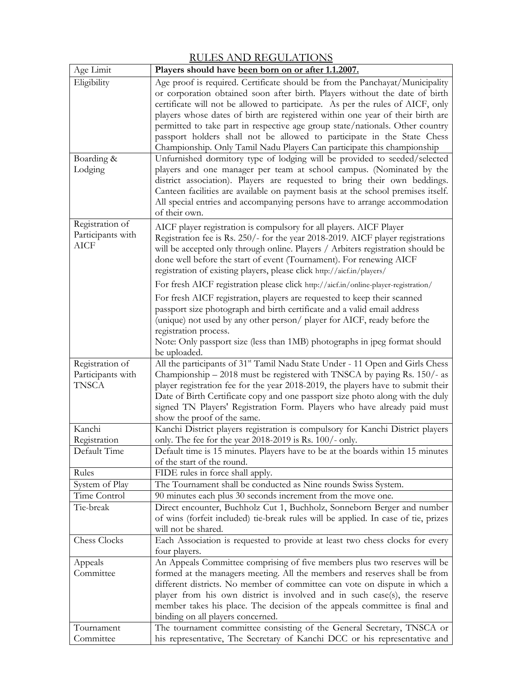| Age Limit                                            | Players should have been born on or after 1.1.2007.                                                                                                                                                                                                                                                                                                                                                                                                                                                                                                                                                                                                                                                                                                                                                                                                                                                                                                                                         |
|------------------------------------------------------|---------------------------------------------------------------------------------------------------------------------------------------------------------------------------------------------------------------------------------------------------------------------------------------------------------------------------------------------------------------------------------------------------------------------------------------------------------------------------------------------------------------------------------------------------------------------------------------------------------------------------------------------------------------------------------------------------------------------------------------------------------------------------------------------------------------------------------------------------------------------------------------------------------------------------------------------------------------------------------------------|
| Eligibility<br>Boarding &<br>Lodging                 | Age proof is required. Certificate should be from the Panchayat/Municipality<br>or corporation obtained soon after birth. Players without the date of birth<br>certificate will not be allowed to participate. As per the rules of AICF, only<br>players whose dates of birth are registered within one year of their birth are<br>permitted to take part in respective age group state/nationals. Other country<br>passport holders shall not be allowed to participate in the State Chess<br>Championship. Only Tamil Nadu Players Can participate this championship<br>Unfurnished dormitory type of lodging will be provided to seeded/selected<br>players and one manager per team at school campus. (Nominated by the<br>district association). Players are requested to bring their own beddings.<br>Canteen facilities are available on payment basis at the school premises itself.<br>All special entries and accompanying persons have to arrange accommodation<br>of their own. |
| Registration of<br>Participants with<br><b>AICF</b>  | AICF player registration is compulsory for all players. AICF Player<br>Registration fee is Rs. 250/- for the year 2018-2019. AICF player registrations<br>will be accepted only through online. Players / Arbiters registration should be<br>done well before the start of event (Tournament). For renewing AICF<br>registration of existing players, please click http://aicf.in/players/<br>For fresh AICF registration please click http://aicf.in/online-player-registration/<br>For fresh AICF registration, players are requested to keep their scanned<br>passport size photograph and birth certificate and a valid email address<br>(unique) not used by any other person/ player for AICF, ready before the<br>registration process.<br>Note: Only passport size (less than 1MB) photographs in jpeg format should                                                                                                                                                                |
| Registration of<br>Participants with<br><b>TNSCA</b> | be uploaded.<br>All the participants of 31 <sup>st</sup> Tamil Nadu State Under - 11 Open and Girls Chess<br>Championship – 2018 must be registered with TNSCA by paying Rs. 150/- as<br>player registration fee for the year 2018-2019, the players have to submit their<br>Date of Birth Certificate copy and one passport size photo along with the duly<br>signed TN Players' Registration Form. Players who have already paid must<br>show the proof of the same.                                                                                                                                                                                                                                                                                                                                                                                                                                                                                                                      |
| Kanchi<br>Registration<br>Default Time               | Kanchi District players registration is compulsory for Kanchi District players<br>only. The fee for the year $2018-2019$ is Rs. $100/-$ only.<br>Default time is 15 minutes. Players have to be at the boards within 15 minutes<br>of the start of the round.                                                                                                                                                                                                                                                                                                                                                                                                                                                                                                                                                                                                                                                                                                                               |
| Rules                                                | FIDE rules in force shall apply.                                                                                                                                                                                                                                                                                                                                                                                                                                                                                                                                                                                                                                                                                                                                                                                                                                                                                                                                                            |
| System of Play                                       | The Tournament shall be conducted as Nine rounds Swiss System.                                                                                                                                                                                                                                                                                                                                                                                                                                                                                                                                                                                                                                                                                                                                                                                                                                                                                                                              |
| Time Control                                         | 90 minutes each plus 30 seconds increment from the move one.                                                                                                                                                                                                                                                                                                                                                                                                                                                                                                                                                                                                                                                                                                                                                                                                                                                                                                                                |
| Tie-break                                            | Direct encounter, Buchholz Cut 1, Buchholz, Sonneborn Berger and number<br>of wins (forfeit included) tie-break rules will be applied. In case of tie, prizes<br>will not be shared.                                                                                                                                                                                                                                                                                                                                                                                                                                                                                                                                                                                                                                                                                                                                                                                                        |
| Chess Clocks                                         | Each Association is requested to provide at least two chess clocks for every<br>four players.                                                                                                                                                                                                                                                                                                                                                                                                                                                                                                                                                                                                                                                                                                                                                                                                                                                                                               |
| Appeals<br>Committee                                 | An Appeals Committee comprising of five members plus two reserves will be<br>formed at the managers meeting. All the members and reserves shall be from<br>different districts. No member of committee can vote on dispute in which a<br>player from his own district is involved and in such case(s), the reserve<br>member takes his place. The decision of the appeals committee is final and<br>binding on all players concerned.                                                                                                                                                                                                                                                                                                                                                                                                                                                                                                                                                       |
| Tournament<br>Committee                              | The tournament committee consisting of the General Secretary, TNSCA or<br>his representative, The Secretary of Kanchi DCC or his representative and                                                                                                                                                                                                                                                                                                                                                                                                                                                                                                                                                                                                                                                                                                                                                                                                                                         |

## RULES AND REGULATIONS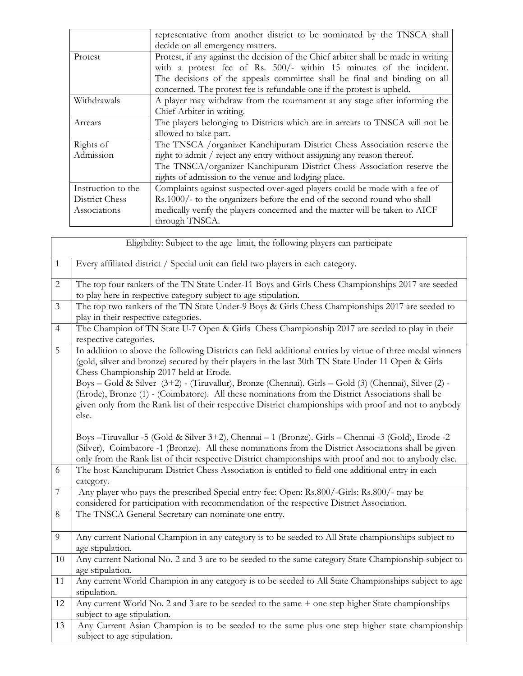|                    | representative from another district to be nominated by the TNSCA shall            |  |  |
|--------------------|------------------------------------------------------------------------------------|--|--|
|                    | decide on all emergency matters.                                                   |  |  |
| Protest            | Protest, if any against the decision of the Chief arbiter shall be made in writing |  |  |
|                    | with a protest fee of Rs. 500/- within 15 minutes of the incident.                 |  |  |
|                    | The decisions of the appeals committee shall be final and binding on all           |  |  |
|                    | concerned. The protest fee is refundable one if the protest is upheld.             |  |  |
| Withdrawals        | A player may withdraw from the tournament at any stage after informing the         |  |  |
|                    | Chief Arbiter in writing.                                                          |  |  |
| Arrears            | The players belonging to Districts which are in arrears to TNSCA will not be       |  |  |
|                    | allowed to take part.                                                              |  |  |
| Rights of          | The TNSCA /organizer Kanchipuram District Chess Association reserve the            |  |  |
| Admission          | right to admit / reject any entry without assigning any reason thereof.            |  |  |
|                    | The TNSCA/organizer Kanchipuram District Chess Association reserve the             |  |  |
|                    | rights of admission to the venue and lodging place.                                |  |  |
| Instruction to the | Complaints against suspected over-aged players could be made with a fee of         |  |  |
| District Chess     | Rs.1000/- to the organizers before the end of the second round who shall           |  |  |
| Associations       | medically verify the players concerned and the matter will be taken to AICF        |  |  |
|                    | through TNSCA.                                                                     |  |  |

|                | Eligibility: Subject to the age limit, the following players can participate                                                                                                                                                                                                                                                                                        |
|----------------|---------------------------------------------------------------------------------------------------------------------------------------------------------------------------------------------------------------------------------------------------------------------------------------------------------------------------------------------------------------------|
| $\mathbf{1}$   | Every affiliated district / Special unit can field two players in each category.                                                                                                                                                                                                                                                                                    |
| 2              | The top four rankers of the TN State Under-11 Boys and Girls Chess Championships 2017 are seeded<br>to play here in respective category subject to age stipulation.                                                                                                                                                                                                 |
| $\overline{3}$ | The top two rankers of the TN State Under-9 Boys & Girls Chess Championships 2017 are seeded to<br>play in their respective categories.                                                                                                                                                                                                                             |
| $\overline{4}$ | The Champion of TN State U-7 Open & Girls Chess Championship 2017 are seeded to play in their<br>respective categories.                                                                                                                                                                                                                                             |
| 5              | In addition to above the following Districts can field additional entries by virtue of three medal winners<br>(gold, silver and bronze) secured by their players in the last 30th TN State Under 11 Open & Girls<br>Chess Championship 2017 held at Erode.<br>Boys - Gold & Silver (3+2) - (Tiruvallur), Bronze (Chennai). Girls - Gold (3) (Chennai), Silver (2) - |
|                | (Erode), Bronze (1) - (Coimbatore). All these nominations from the District Associations shall be<br>given only from the Rank list of their respective District championships with proof and not to anybody<br>else.                                                                                                                                                |
|                | Boys - Tiruvallur -5 (Gold & Silver 3+2), Chennai - 1 (Bronze). Girls - Chennai - 3 (Gold), Erode - 2<br>(Silver), Coimbatore -1 (Bronze). All these nominations from the District Associations shall be given<br>only from the Rank list of their respective District championships with proof and not to anybody else.                                            |
| 6              | The host Kanchipuram District Chess Association is entitled to field one additional entry in each<br>category.                                                                                                                                                                                                                                                      |
| $\overline{7}$ | Any player who pays the prescribed Special entry fee: Open: Rs.800/-Girls: Rs.800/- may be<br>considered for participation with recommendation of the respective District Association.                                                                                                                                                                              |
| $8\,$          | The TNSCA General Secretary can nominate one entry.                                                                                                                                                                                                                                                                                                                 |
| 9              | Any current National Champion in any category is to be seeded to All State championships subject to<br>age stipulation.                                                                                                                                                                                                                                             |
| 10             | Any current National No. 2 and 3 are to be seeded to the same category State Championship subject to<br>age stipulation.                                                                                                                                                                                                                                            |
| 11             | Any current World Champion in any category is to be seeded to All State Championships subject to age<br>stipulation.                                                                                                                                                                                                                                                |
| 12             | Any current World No. 2 and 3 are to be seeded to the same + one step higher State championships<br>subject to age stipulation.                                                                                                                                                                                                                                     |
| 13             | Any Current Asian Champion is to be seeded to the same plus one step higher state championship<br>subject to age stipulation.                                                                                                                                                                                                                                       |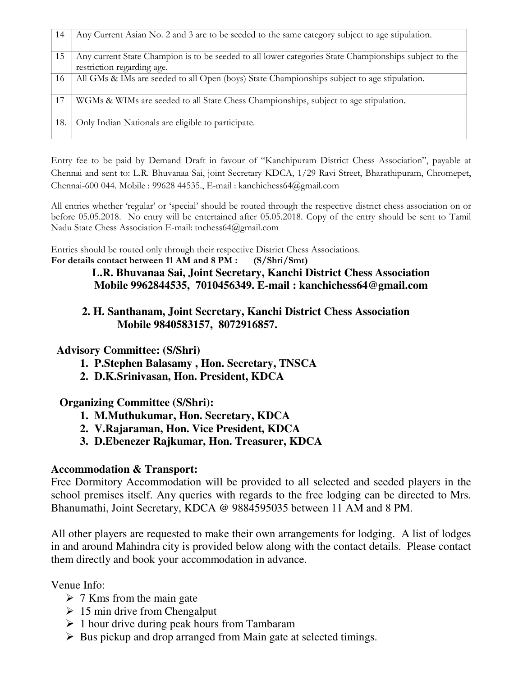| 14  | Any Current Asian No. 2 and 3 are to be seeded to the same category subject to age stipulation.                                     |
|-----|-------------------------------------------------------------------------------------------------------------------------------------|
| 15  | Any current State Champion is to be seeded to all lower categories State Championships subject to the<br>restriction regarding age. |
| 16  | All GMs & IMs are seeded to all Open (boys) State Championships subject to age stipulation.                                         |
| 17  | WGMs & WIMs are seeded to all State Chess Championships, subject to age stipulation.                                                |
| 18. | Only Indian Nationals are eligible to participate.                                                                                  |

Entry fee to be paid by Demand Draft in favour of "Kanchipuram District Chess Association", payable at Chennai and sent to: L.R. Bhuvanaa Sai, joint Secretary KDCA, 1/29 Ravi Street, Bharathipuram, Chromepet, Chennai-600 044. Mobile : 99628 44535., E-mail : kanchichess64@gmail.com

All entries whether 'regular' or 'special' should be routed through the respective district chess association on or before 05.05.2018. No entry will be entertained after 05.05.2018. Copy of the entry should be sent to Tamil Nadu State Chess Association E-mail: tnchess64@gmail.com

Entries should be routed only through their respective District Chess Associations. For details contact between 11 AM and 8 PM : (S/Shri/Smt)

#### **L.R. Bhuvanaa Sai, Joint Secretary, Kanchi District Chess Association Mobile 9962844535, 7010456349. E-mail : kanchichess64@gmail.com**

### **2. H. Santhanam, Joint Secretary, Kanchi District Chess Association Mobile 9840583157, 8072916857.**

## **Advisory Committee: (S/Shri)**

- **1. P.Stephen Balasamy , Hon. Secretary, TNSCA**
- **2. D.K.Srinivasan, Hon. President, KDCA**

#### **Organizing Committee (S/Shri):**

- **1. M.Muthukumar, Hon. Secretary, KDCA**
- **2. V.Rajaraman, Hon. Vice President, KDCA**
- **3. D.Ebenezer Rajkumar, Hon. Treasurer, KDCA**

#### **Accommodation & Transport:**

Free Dormitory Accommodation will be provided to all selected and seeded players in the school premises itself. Any queries with regards to the free lodging can be directed to Mrs. Bhanumathi, Joint Secretary, KDCA @ 9884595035 between 11 AM and 8 PM.

All other players are requested to make their own arrangements for lodging. A list of lodges in and around Mahindra city is provided below along with the contact details. Please contact them directly and book your accommodation in advance.

Venue Info:

- $\geq 7$  Kms from the main gate
- $\geq 15$  min drive from Chengalput
- $\geq 1$  hour drive during peak hours from Tambaram
- $\triangleright$  Bus pickup and drop arranged from Main gate at selected timings.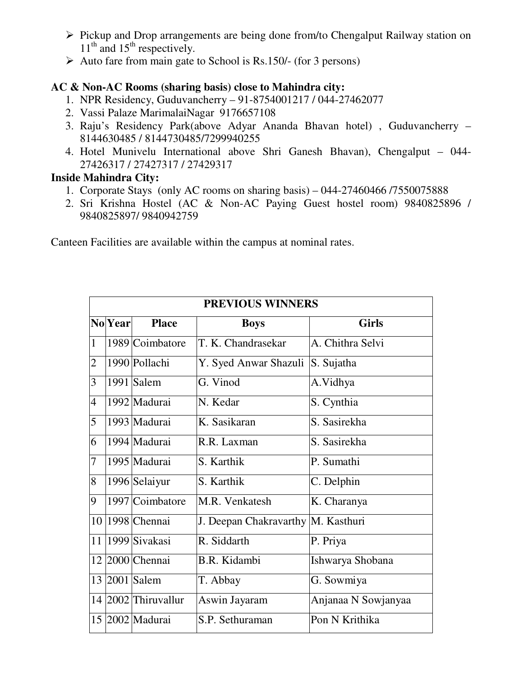- $\triangleright$  Pickup and Drop arrangements are being done from/to Chengalput Railway station on  $11<sup>th</sup>$  and  $15<sup>th</sup>$  respectively.
- $\triangleright$  Auto fare from main gate to School is Rs.150/- (for 3 persons)

## **AC & Non-AC Rooms (sharing basis) close to Mahindra city:**

- 1. NPR Residency, Guduvancherry 91-8754001217 / 044-27462077
- 2. Vassi Palaze MarimalaiNagar 9176657108
- 3. Raju's Residency Park(above Adyar Ananda Bhavan hotel) , Guduvancherry 8144630485 / 8144730485/7299940255
- 4. Hotel Munivelu International above Shri Ganesh Bhavan), Chengalput 044- 27426317 / 27427317 / 27429317

### **Inside Mahindra City:**

- 1. Corporate Stays (only AC rooms on sharing basis) 044-27460466 /7550075888
- 2. Sri Krishna Hostel (AC & Non-AC Paying Guest hostel room) 9840825896 / 9840825897/ 9840942759

Canteen Facilities are available within the campus at nominal rates.

|                | PREVIOUS WINNERS |                  |                                      |                     |  |  |
|----------------|------------------|------------------|--------------------------------------|---------------------|--|--|
|                | <b>No</b> Year   | <b>Place</b>     | <b>Boys</b>                          | <b>Girls</b>        |  |  |
| $\mathbf{1}$   |                  | 1989 Coimbatore  | T. K. Chandrasekar                   | A. Chithra Selvi    |  |  |
| $\overline{2}$ |                  | 1990 Pollachi    | Y. Syed Anwar Shazuli                | S. Sujatha          |  |  |
| 3              |                  | 1991 Salem       | G. Vinod                             | A.Vidhya            |  |  |
| $\overline{4}$ |                  | 1992 Madurai     | N. Kedar                             | S. Cynthia          |  |  |
| 5              |                  | 1993 Madurai     | K. Sasikaran                         | S. Sasirekha        |  |  |
| 6              |                  | 1994 Madurai     | R.R. Laxman                          | S. Sasirekha        |  |  |
| 7              |                  | 1995 Madurai     | S. Karthik                           | P. Sumathi          |  |  |
| 8              |                  | 1996 Selaiyur    | S. Karthik                           | C. Delphin          |  |  |
| 9              |                  | 1997 Coimbatore  | M.R. Venkatesh                       | K. Charanya         |  |  |
| 10             |                  | 1998 Chennai     | J. Deepan Chakravarthy   M. Kasthuri |                     |  |  |
| 11             |                  | 1999 Sivakasi    | R. Siddarth                          | P. Priya            |  |  |
| 12             |                  | 2000 Chennai     | B.R. Kidambi                         | Ishwarya Shobana    |  |  |
|                |                  | 13 2001 Salem    | T. Abbay                             | G. Sowmiya          |  |  |
| 14             |                  | 2002 Thiruvallur | Aswin Jayaram                        | Anjanaa N Sowjanyaa |  |  |
|                |                  | 15 2002 Madurai  | S.P. Sethuraman                      | Pon N Krithika      |  |  |